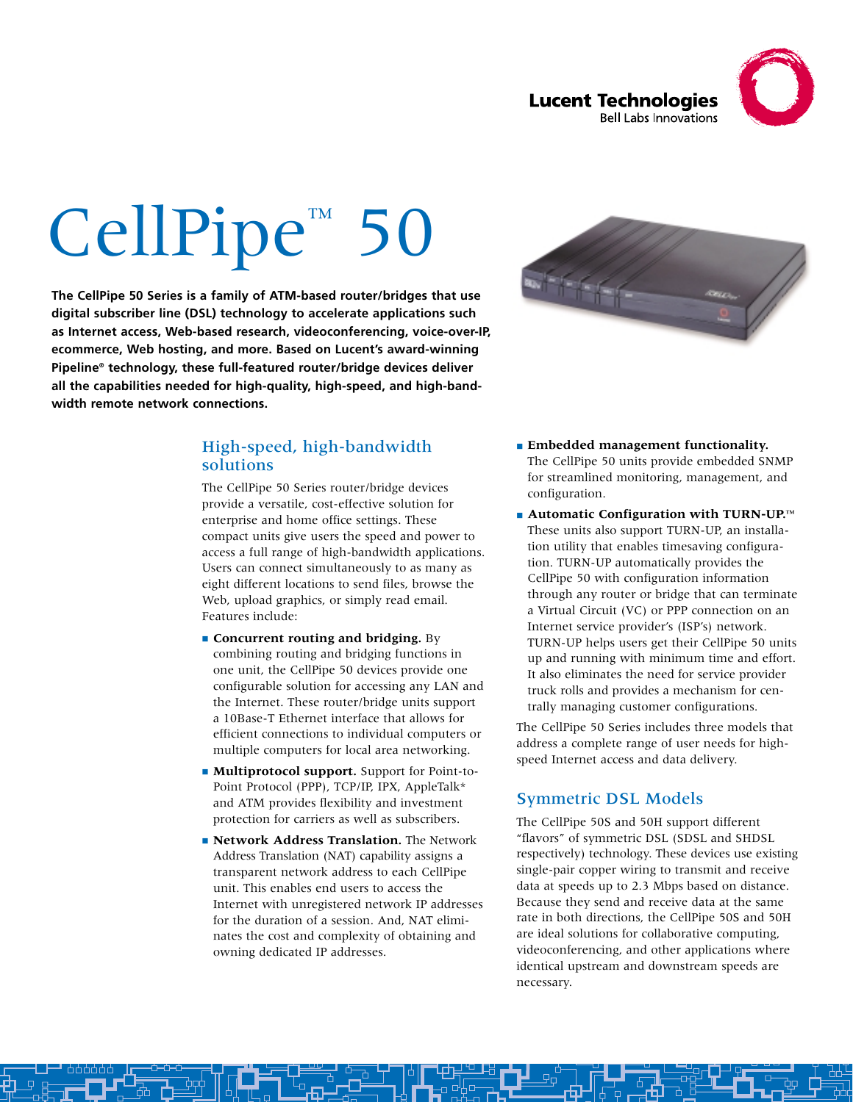

# CellPipe<sup>™</sup> 50

**The CellPipe 50 Series is a family of ATM-based router/bridges that use digital subscriber line (DSL) technology to accelerate applications such as Internet access, Web-based research, videoconferencing, voice-over-IP, ecommerce, Web hosting, and more. Based on Lucent's award-winning Pipeline® technology, these full-featured router/bridge devices deliver all the capabilities needed for high-quality, high-speed, and high-bandwidth remote network connections.**

## High-speed, high-bandwidth solutions

The CellPipe 50 Series router/bridge devices provide a versatile, cost-effective solution for enterprise and home office settings. These compact units give users the speed and power to access a full range of high-bandwidth applications. Users can connect simultaneously to as many as eight different locations to send files, browse the Web, upload graphics, or simply read email. Features include:

- **Concurrent routing and bridging.** By combining routing and bridging functions in one unit, the CellPipe 50 devices provide one configurable solution for accessing any LAN and the Internet. These router/bridge units support a 10Base-T Ethernet interface that allows for efficient connections to individual computers or multiple computers for local area networking.
- **Multiprotocol support.** Support for Point-to-Point Protocol (PPP), TCP/IP, IPX, AppleTalk\* and ATM provides flexibility and investment protection for carriers as well as subscribers.
- **Network Address Translation.** The Network Address Translation (NAT) capability assigns a transparent network address to each CellPipe unit. This enables end users to access the Internet with unregistered network IP addresses for the duration of a session. And, NAT eliminates the cost and complexity of obtaining and owning dedicated IP addresses.



- **Embedded management functionality.** The CellPipe 50 units provide embedded SNMP for streamlined monitoring, management, and configuration.
- **Automatic Configuration with TURN-UP.™** These units also support TURN-UP, an installation utility that enables timesaving configuration. TURN-UP automatically provides the CellPipe 50 with configuration information through any router or bridge that can terminate a Virtual Circuit (VC) or PPP connection on an Internet service provider's (ISP's) network. TURN-UP helps users get their CellPipe 50 units up and running with minimum time and effort. It also eliminates the need for service provider truck rolls and provides a mechanism for centrally managing customer configurations.

The CellPipe 50 Series includes three models that address a complete range of user needs for highspeed Internet access and data delivery.

# Symmetric DSL Models

The CellPipe 50S and 50H support different "flavors" of symmetric DSL (SDSL and SHDSL respectively) technology. These devices use existing single-pair copper wiring to transmit and receive data at speeds up to 2.3 Mbps based on distance. Because they send and receive data at the same rate in both directions, the CellPipe 50S and 50H are ideal solutions for collaborative computing, videoconferencing, and other applications where identical upstream and downstream speeds are necessary.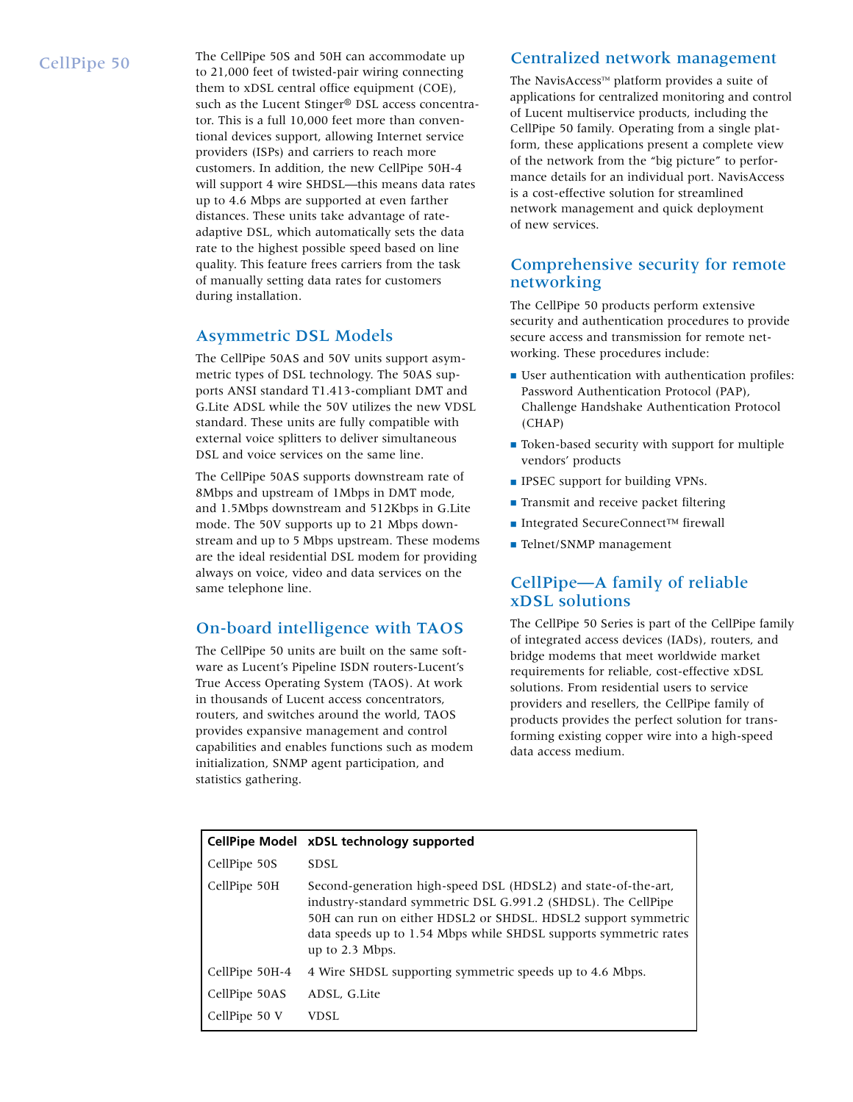CellPipe 50 The CellPipe 50S and 50H can accommodate up to 21,000 feet of twisted-pair wiring connecting them to xDSL central office equipment (COE), such as the Lucent Stinger® DSL access concentrator. This is a full 10,000 feet more than conventional devices support, allowing Internet service providers (ISPs) and carriers to reach more customers. In addition, the new CellPipe 50H-4 will support 4 wire SHDSL—this means data rates up to 4.6 Mbps are supported at even farther distances. These units take advantage of rateadaptive DSL, which automatically sets the data rate to the highest possible speed based on line quality. This feature frees carriers from the task of manually setting data rates for customers during installation.

# Asymmetric DSL Models

The CellPipe 50AS and 50V units support asymmetric types of DSL technology. The 50AS supports ANSI standard T1.413-compliant DMT and G.Lite ADSL while the 50V utilizes the new VDSL standard. These units are fully compatible with external voice splitters to deliver simultaneous DSL and voice services on the same line.

The CellPipe 50AS supports downstream rate of 8Mbps and upstream of 1Mbps in DMT mode, and 1.5Mbps downstream and 512Kbps in G.Lite mode. The 50V supports up to 21 Mbps downstream and up to 5 Mbps upstream. These modems are the ideal residential DSL modem for providing always on voice, video and data services on the same telephone line.

# On-board intelligence with TAOS

The CellPipe 50 units are built on the same software as Lucent's Pipeline ISDN routers-Lucent's True Access Operating System (TAOS). At work in thousands of Lucent access concentrators, routers, and switches around the world, TAOS provides expansive management and control capabilities and enables functions such as modem initialization, SNMP agent participation, and statistics gathering.

#### Centralized network management

The NavisAccess™ platform provides a suite of applications for centralized monitoring and control of Lucent multiservice products, including the CellPipe 50 family. Operating from a single platform, these applications present a complete view of the network from the "big picture" to performance details for an individual port. NavisAccess is a cost-effective solution for streamlined network management and quick deployment of new services.

# Comprehensive security for remote networking

The CellPipe 50 products perform extensive security and authentication procedures to provide secure access and transmission for remote networking. These procedures include:

- User authentication with authentication profiles: Password Authentication Protocol (PAP), Challenge Handshake Authentication Protocol (CHAP)
- Token-based security with support for multiple vendors' products
- IPSEC support for building VPNs.
- Transmit and receive packet filtering
- Integrated SecureConnect™ firewall
- Telnet/SNMP management

## CellPipe—A family of reliable xDSL solutions

The CellPipe 50 Series is part of the CellPipe family of integrated access devices (IADs), routers, and bridge modems that meet worldwide market requirements for reliable, cost-effective xDSL solutions. From residential users to service providers and resellers, the CellPipe family of products provides the perfect solution for transforming existing copper wire into a high-speed data access medium.

|                | CellPipe Model xDSL technology supported                                                                                                                                                                                                                                                  |
|----------------|-------------------------------------------------------------------------------------------------------------------------------------------------------------------------------------------------------------------------------------------------------------------------------------------|
| CellPipe 50S   | SDSL                                                                                                                                                                                                                                                                                      |
| CellPipe 50H   | Second-generation high-speed DSL (HDSL2) and state-of-the-art,<br>industry-standard symmetric DSL G.991.2 (SHDSL). The CellPipe<br>50H can run on either HDSL2 or SHDSL. HDSL2 support symmetric<br>data speeds up to 1.54 Mbps while SHDSL supports symmetric rates<br>up to $2.3$ Mbps. |
| CellPipe 50H-4 | 4 Wire SHDSL supporting symmetric speeds up to 4.6 Mbps.                                                                                                                                                                                                                                  |
| CellPipe 50AS  | ADSL, G.Lite                                                                                                                                                                                                                                                                              |
| CellPipe 50 V  | VDSL                                                                                                                                                                                                                                                                                      |